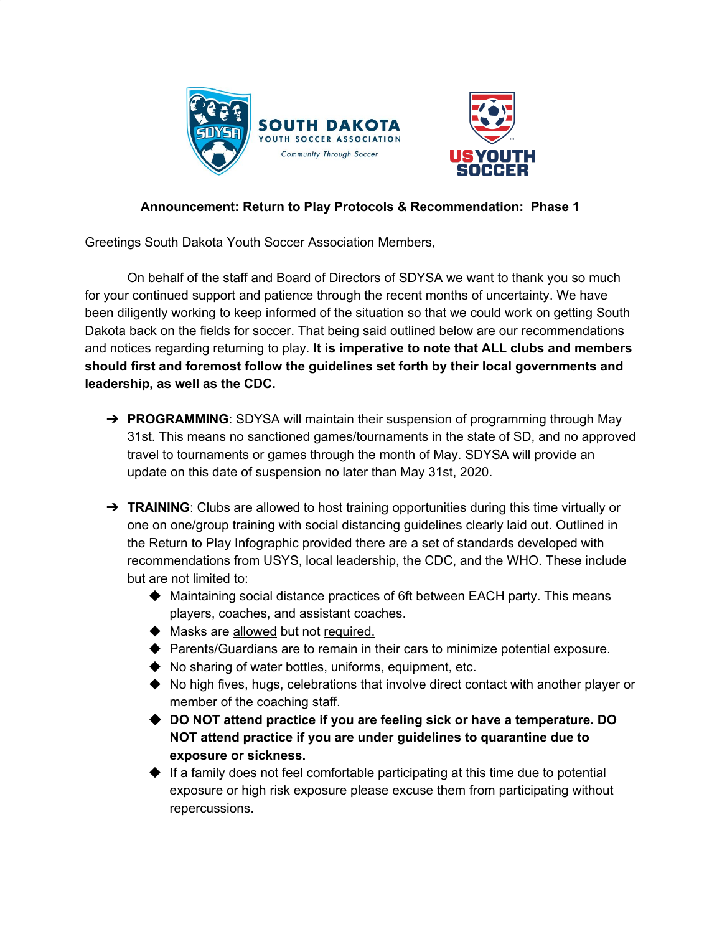

## **Announcement: Return to Play Protocols & Recommendation: Phase 1**

Greetings South Dakota Youth Soccer Association Members,

On behalf of the staff and Board of Directors of SDYSA we want to thank you so much for your continued support and patience through the recent months of uncertainty. We have been diligently working to keep informed of the situation so that we could work on getting South Dakota back on the fields for soccer. That being said outlined below are our recommendations and notices regarding returning to play. **It is imperative to note that ALL clubs and members should first and foremost follow the guidelines set forth by their local governments and leadership, as well as the CDC.**

- **→ PROGRAMMING**: SDYSA will maintain their suspension of programming through May 31st. This means no sanctioned games/tournaments in the state of SD, and no approved travel to tournaments or games through the month of May. SDYSA will provide an update on this date of suspension no later than May 31st, 2020.
- ➔ **TRAINING**: Clubs are allowed to host training opportunities during this time virtually or one on one/group training with social distancing guidelines clearly laid out. Outlined in the Return to Play Infographic provided there are a set of standards developed with recommendations from USYS, local leadership, the CDC, and the WHO. These include but are not limited to:
	- ◆ Maintaining social distance practices of 6ft between EACH party. This means players, coaches, and assistant coaches.
	- ◆ Masks are allowed but not required.
	- ◆ Parents/Guardians are to remain in their cars to minimize potential exposure.
	- ◆ No sharing of water bottles, uniforms, equipment, etc.
	- ◆ No high fives, hugs, celebrations that involve direct contact with another player or member of the coaching staff.
	- ◆ **DO NOT attend practice if you are feeling sick or have a temperature. DO NOT attend practice if you are under guidelines to quarantine due to exposure or sickness.**
	- $\blacklozenge$  If a family does not feel comfortable participating at this time due to potential exposure or high risk exposure please excuse them from participating without repercussions.